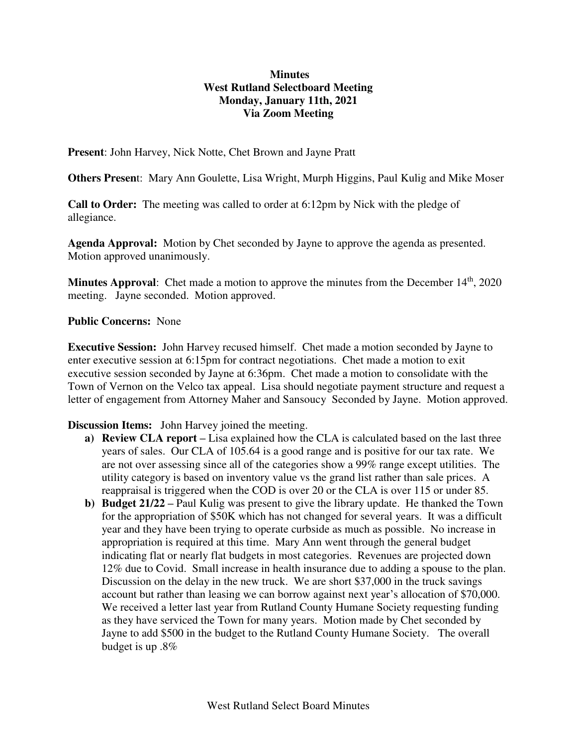## **Minutes West Rutland Selectboard Meeting Monday, January 11th, 2021 Via Zoom Meeting**

**Present**: John Harvey, Nick Notte, Chet Brown and Jayne Pratt

**Others Presen**t: Mary Ann Goulette, Lisa Wright, Murph Higgins, Paul Kulig and Mike Moser

**Call to Order:** The meeting was called to order at 6:12pm by Nick with the pledge of allegiance.

**Agenda Approval:** Motion by Chet seconded by Jayne to approve the agenda as presented. Motion approved unanimously.

**Minutes Approval:** Chet made a motion to approve the minutes from the December 14<sup>th</sup>, 2020 meeting. Jayne seconded. Motion approved.

## **Public Concerns:** None

**Executive Session:** John Harvey recused himself. Chet made a motion seconded by Jayne to enter executive session at 6:15pm for contract negotiations. Chet made a motion to exit executive session seconded by Jayne at 6:36pm. Chet made a motion to consolidate with the Town of Vernon on the Velco tax appeal. Lisa should negotiate payment structure and request a letter of engagement from Attorney Maher and Sansoucy Seconded by Jayne. Motion approved.

**Discussion Items:** John Harvey joined the meeting.

- **a) Review CLA report** Lisa explained how the CLA is calculated based on the last three years of sales. Our CLA of 105.64 is a good range and is positive for our tax rate. We are not over assessing since all of the categories show a 99% range except utilities. The utility category is based on inventory value vs the grand list rather than sale prices. A reappraisal is triggered when the COD is over 20 or the CLA is over 115 or under 85.
- **b) Budget 21/22 –** Paul Kulig was present to give the library update. He thanked the Town for the appropriation of \$50K which has not changed for several years. It was a difficult year and they have been trying to operate curbside as much as possible. No increase in appropriation is required at this time. Mary Ann went through the general budget indicating flat or nearly flat budgets in most categories. Revenues are projected down 12% due to Covid. Small increase in health insurance due to adding a spouse to the plan. Discussion on the delay in the new truck. We are short \$37,000 in the truck savings account but rather than leasing we can borrow against next year's allocation of \$70,000. We received a letter last year from Rutland County Humane Society requesting funding as they have serviced the Town for many years. Motion made by Chet seconded by Jayne to add \$500 in the budget to the Rutland County Humane Society. The overall budget is up .8%